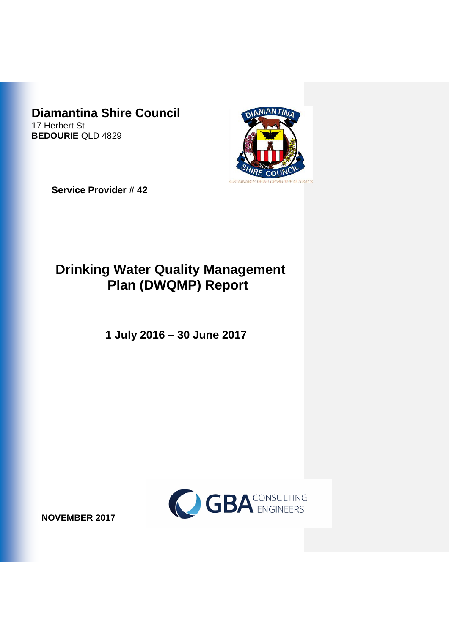# **Diamantina Shire Council**

17 Herbert St **BEDOURIE** QLD 4829



**Service Provider # 42**

# **Drinking Water Quality Management Plan (DWQMP) Report**

**1 July 2016 – 30 June 2017**



**NOVEMBER 2017**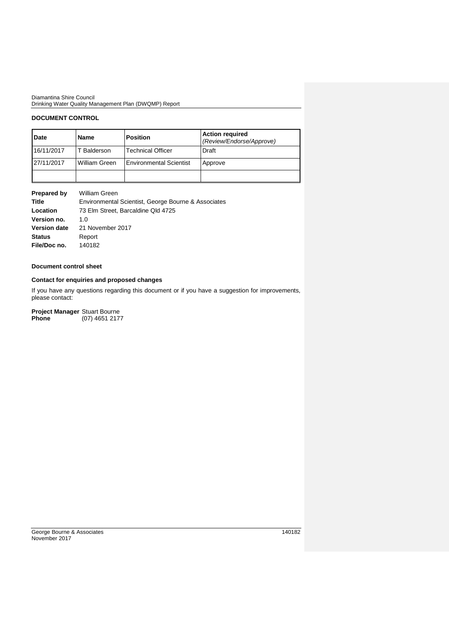Diamantina Shire Council Drinking Water Quality Management Plan (DWQMP) Report

## **DOCUMENT CONTROL**

| Date       | <b>Name</b>   | <b>Position</b>                | <b>Action required</b><br>(Review/Endorse/Approve) |
|------------|---------------|--------------------------------|----------------------------------------------------|
| 16/11/2017 | T Balderson   | <b>Technical Officer</b>       | Draft                                              |
| 27/11/2017 | William Green | <b>Environmental Scientist</b> | Approve                                            |
|            |               |                                |                                                    |

| Prepared by         | William Green                                       |
|---------------------|-----------------------------------------------------|
| Title               | Environmental Scientist, George Bourne & Associates |
| Location            | 73 Elm Street, Barcaldine Qld 4725                  |
| Version no.         | 1.O                                                 |
| <b>Version date</b> | 21 November 2017                                    |
| <b>Status</b>       | Report                                              |
| File/Doc no.        | 140182                                              |

### **Document control sheet**

## **Contact for enquiries and proposed changes**

If you have any questions regarding this document or if you have a suggestion for improvements, please contact:

**Project Manager** Stuart Bourne

**Phone** (07) 4651 2177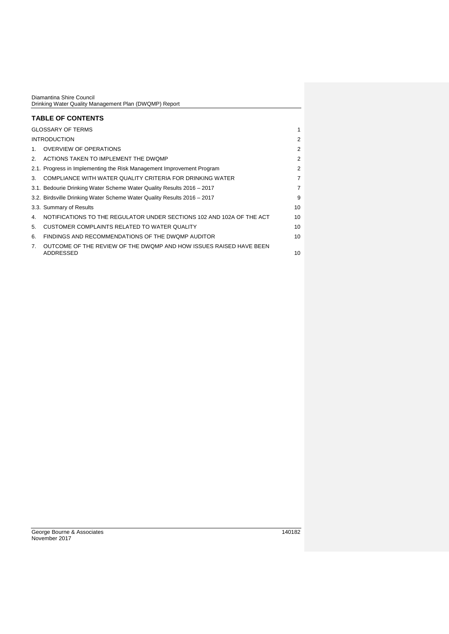|                | Diamantina Shire Council<br>Drinking Water Quality Management Plan (DWQMP) Report |                |
|----------------|-----------------------------------------------------------------------------------|----------------|
|                | <b>TABLE OF CONTENTS</b>                                                          |                |
|                | <b>GLOSSARY OF TERMS</b>                                                          | 1              |
|                | <b>INTRODUCTION</b>                                                               | $\mathcal{P}$  |
| 1 <sub>1</sub> | <b>OVERVIEW OF OPERATIONS</b>                                                     | 2              |
| 2.             | ACTIONS TAKEN TO IMPLEMENT THE DWQMP                                              | 2              |
|                | 2.1. Progress in Implementing the Risk Management Improvement Program             | 2              |
| 3.             | COMPLIANCE WITH WATER QUALITY CRITERIA FOR DRINKING WATER                         | $\overline{7}$ |
|                | 3.1. Bedourie Drinking Water Scheme Water Quality Results 2016 – 2017             | $\overline{7}$ |
|                | 3.2. Birdsville Drinking Water Scheme Water Quality Results 2016 - 2017           | 9              |
|                | 3.3. Summary of Results                                                           | 10             |
| 4.             | NOTIFICATIONS TO THE REGULATOR UNDER SECTIONS 102 AND 102A OF THE ACT             | 10             |
| 5.             | CUSTOMER COMPLAINTS RELATED TO WATER QUALITY                                      | 10             |
| 6.             | FINDINGS AND RECOMMENDATIONS OF THE DWOMP AUDITOR                                 | 10             |
| $\mathbf{7}$   | OUTCOME OF THE REVIEW OF THE DWQMP AND HOW ISSUES RAISED HAVE BEEN<br>ADDRESSED   | 10             |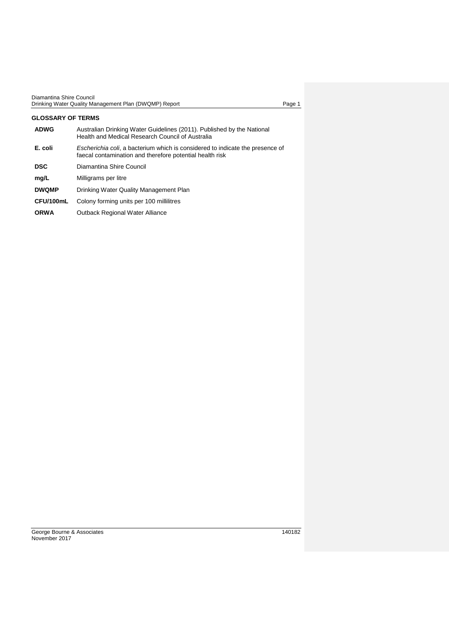| Diamantina Shire Council                              |      |
|-------------------------------------------------------|------|
| Drinking Water Quality Management Plan (DWQMP) Report | Page |

<span id="page-3-0"></span>

| GLOSSARY OF TERMS |                                                                                                                                           |
|-------------------|-------------------------------------------------------------------------------------------------------------------------------------------|
| <b>ADWG</b>       | Australian Drinking Water Guidelines (2011). Published by the National<br>Health and Medical Research Council of Australia                |
| E. coli           | Escherichia coli, a bacterium which is considered to indicate the presence of<br>faecal contamination and therefore potential health risk |
| <b>DSC</b>        | Diamantina Shire Council                                                                                                                  |
| mg/L              | Milligrams per litre                                                                                                                      |
| <b>DWQMP</b>      | Drinking Water Quality Management Plan                                                                                                    |
| CFU/100mL         | Colony forming units per 100 millilitres                                                                                                  |
| <b>ORWA</b>       | <b>Outback Regional Water Alliance</b>                                                                                                    |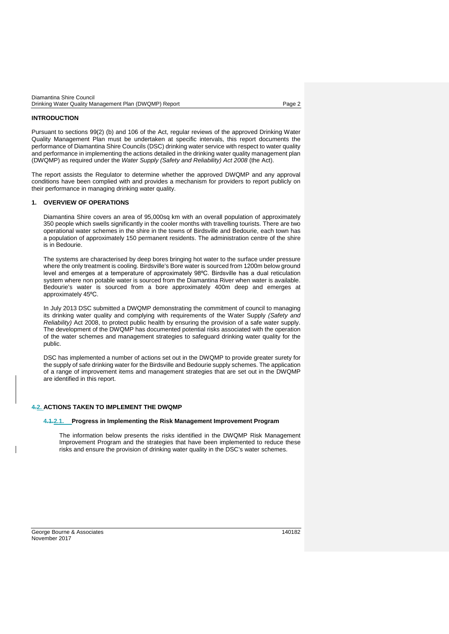| Diamantina Shire Council                              |        |
|-------------------------------------------------------|--------|
| Drinking Water Quality Management Plan (DWQMP) Report | Page 2 |

#### <span id="page-4-0"></span>**INTRODUCTION**

Pursuant to sections 99(2) (b) and 106 of the Act, regular reviews of the approved Drinking Water Quality Management Plan must be undertaken at specific intervals, this report documents the performance of Diamantina Shire Councils (DSC) drinking water service with respect to water quality and performance in implementing the actions detailed in the drinking water quality management plan (DWQMP) as required under the *Water Supply (Safety and Reliability) Act 2008* (the Act).

The report assists the Regulator to determine whether the approved DWQMP and any approval conditions have been complied with and provides a mechanism for providers to report publicly on their performance in managing drinking water quality.

#### <span id="page-4-1"></span>**1. OVERVIEW OF OPERATIONS**

Diamantina Shire covers an area of 95,000sq km with an overall population of approximately 350 people which swells significantly in the cooler months with travelling tourists. There are two operational water schemes in the shire in the towns of Birdsville and Bedourie, each town has a population of approximately 150 permanent residents. The administration centre of the shire is in Bedourie.

The systems are characterised by deep bores bringing hot water to the surface under pressure where the only treatment is cooling. Birdsville's Bore water is sourced from 1200m below ground level and emerges at a temperature of approximately 98°C. Birdsville has a dual reticulation system where non potable water is sourced from the Diamantina River when water is available. Bedourie's water is sourced from a bore approximately 400m deep and emerges at approximately 45⁰C.

In July 2013 DSC submitted a DWQMP demonstrating the commitment of council to managing its drinking water quality and complying with requirements of the Water Supply *(Safety and Reliability)* Act 2008, to protect public health by ensuring the provision of a safe water supply. The development of the DWQMP has documented potential risks associated with the operation of the water schemes and management strategies to safeguard drinking water quality for the public.

DSC has implemented a number of actions set out in the DWQMP to provide greater surety for the supply of safe drinking water for the Birdsville and Bedourie supply schemes. The application of a range of improvement items and management strategies that are set out in the DWQMP are identified in this report.

### <span id="page-4-2"></span>**4.2. ACTIONS TAKEN TO IMPLEMENT THE DWQMP**

#### <span id="page-4-3"></span>**4.1.2.1. Progress in Implementing the Risk Management Improvement Program**

The information below presents the risks identified in the DWQMP Risk Management Improvement Program and the strategies that have been implemented to reduce these risks and ensure the provision of drinking water quality in the DSC's water schemes.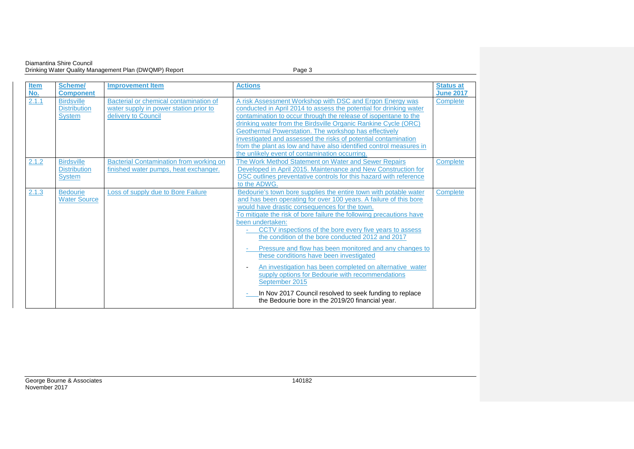#### Diamantina Shire Council Drinking Water Quality Management Plan (DWQMP) Report Page 3

| <b>Item</b> | <b>Scheme/</b>                                            | <b>Improvement Item</b>                                                                                 | <b>Actions</b>                                                                                                                                                                                                                                                                                                                                                                                                                                                                                                                                                                                                                                                                                                                                                     | <b>Status at</b> |
|-------------|-----------------------------------------------------------|---------------------------------------------------------------------------------------------------------|--------------------------------------------------------------------------------------------------------------------------------------------------------------------------------------------------------------------------------------------------------------------------------------------------------------------------------------------------------------------------------------------------------------------------------------------------------------------------------------------------------------------------------------------------------------------------------------------------------------------------------------------------------------------------------------------------------------------------------------------------------------------|------------------|
| No.         | <b>Component</b>                                          |                                                                                                         |                                                                                                                                                                                                                                                                                                                                                                                                                                                                                                                                                                                                                                                                                                                                                                    | <b>June 2017</b> |
| 2.1.1       | <b>Birdsville</b><br><b>Distribution</b><br><b>System</b> | Bacterial or chemical contamination of<br>water supply in power station prior to<br>delivery to Council | A risk Assessment Workshop with DSC and Ergon Energy was<br>conducted in April 2014 to assess the potential for drinking water<br>contamination to occur through the release of isopentane to the<br>drinking water from the Birdsville Organic Rankine Cycle (ORC)<br>Geothermal Powerstation. The workshop has effectively<br>investigated and assessed the risks of potential contamination<br>from the plant as low and have also identified control measures in<br>the unlikely event of contamination occurring.                                                                                                                                                                                                                                             | Complete         |
| 2.1.2       | <b>Birdsville</b><br><b>Distribution</b><br><b>System</b> | <b>Bacterial Contamination from working on</b><br>finished water pumps, heat exchanger.                 | The Work Method Statement on Water and Sewer Repairs<br>Developed in April 2015. Maintenance and New Construction for<br>DSC outlines preventative controls for this hazard with reference<br>to the ADWG.                                                                                                                                                                                                                                                                                                                                                                                                                                                                                                                                                         | Complete         |
| 2.1.3       | <b>Bedourie</b><br><b>Water Source</b>                    | Loss of supply due to Bore Failure                                                                      | Bedourie's town bore supplies the entire town with potable water<br>and has been operating for over 100 years. A failure of this bore<br>would have drastic consequences for the town.<br>To mitigate the risk of bore failure the following precautions have<br>been undertaken:<br>CCTV inspections of the bore every five years to assess<br>$\sim$<br>the condition of the bore conducted 2012 and 2017<br>Pressure and flow has been monitored and any changes to<br>these conditions have been investigated<br>An investigation has been completed on alternative water<br>supply options for Bedourie with recommendations<br>September 2015<br>In Nov 2017 Council resolved to seek funding to replace<br>the Bedourie bore in the 2019/20 financial year. | Complete         |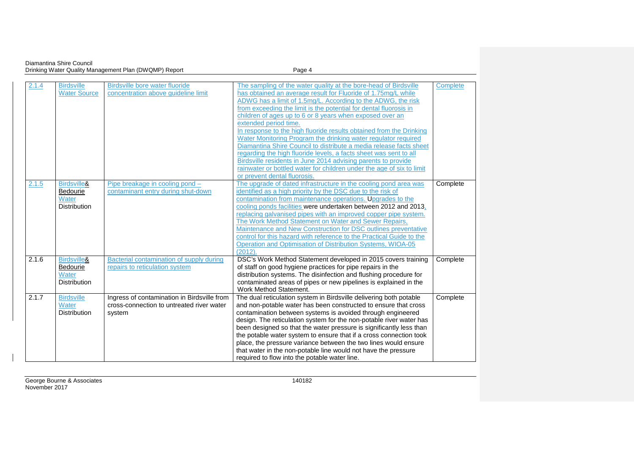Diamantina Shire Council Drinking Water Quality Management Plan (DWQMP) Report Page 4

| 2.1.4 | <b>Birdsville</b>   | Birdsville bore water fluoride              | The sampling of the water quality at the bore-head of Birdsville      | Complete |
|-------|---------------------|---------------------------------------------|-----------------------------------------------------------------------|----------|
|       | <b>Water Source</b> | concentration above quideline limit         | has obtained an average result for Fluoride of 1.75mg/L while         |          |
|       |                     |                                             | ADWG has a limit of 1.5mg/L. According to the ADWG, the risk          |          |
|       |                     |                                             | from exceeding the limit is the potential for dental fluorosis in     |          |
|       |                     |                                             | children of ages up to 6 or 8 years when exposed over an              |          |
|       |                     |                                             | extended period time.                                                 |          |
|       |                     |                                             | In response to the high fluoride results obtained from the Drinking   |          |
|       |                     |                                             | Water Monitoring Program the drinking water regulator required        |          |
|       |                     |                                             | Diamantina Shire Council to distribute a media release facts sheet    |          |
|       |                     |                                             | regarding the high fluoride levels, a facts sheet was sent to all     |          |
|       |                     |                                             | Birdsville residents in June 2014 advising parents to provide         |          |
|       |                     |                                             | rainwater or bottled water for children under the age of six to limit |          |
|       |                     |                                             | or prevent dental fluorosis.                                          |          |
| 2.1.5 | Birdsville&         | Pipe breakage in cooling pond -             | The upgrade of dated infrastructure in the cooling pond area was      | Complete |
|       | Bedourie            | contaminant entry during shut-down          | identified as a high priority by the DSC due to the risk of           |          |
|       | Water               |                                             | contamination from maintenance operations. Upgrades to the            |          |
|       | <b>Distribution</b> |                                             | cooling ponds facilities were undertaken between 2012 and 2013.       |          |
|       |                     |                                             | replacing galvanised pipes with an improved copper pipe system.       |          |
|       |                     |                                             | The Work Method Statement on Water and Sewer Repairs,                 |          |
|       |                     |                                             | Maintenance and New Construction for DSC outlines preventative        |          |
|       |                     |                                             | control for this hazard with reference to the Practical Guide to the  |          |
|       |                     |                                             | Operation and Optimisation of Distribution Systems, WIOA-05           |          |
|       |                     |                                             | (2012)                                                                |          |
| 2.1.6 | Birdsville&         | Bacterial contamination of supply during    | DSC's Work Method Statement developed in 2015 covers training         | Complete |
|       | <b>Bedourie</b>     | repairs to reticulation system              | of staff on good hygiene practices for pipe repairs in the            |          |
|       | Water               |                                             | distribution systems. The disinfection and flushing procedure for     |          |
|       | <b>Distribution</b> |                                             | contaminated areas of pipes or new pipelines is explained in the      |          |
|       |                     |                                             | Work Method Statement.                                                |          |
| 2.1.7 | <b>Birdsville</b>   | Ingress of contamination in Birdsville from | The dual reticulation system in Birdsville delivering both potable    | Complete |
|       | Water               | cross-connection to untreated river water   | and non-potable water has been constructed to ensure that cross       |          |
|       | <b>Distribution</b> | system                                      | contamination between systems is avoided through engineered           |          |
|       |                     |                                             | design. The reticulation system for the non-potable river water has   |          |
|       |                     |                                             | been designed so that the water pressure is significantly less than   |          |
|       |                     |                                             | the potable water system to ensure that if a cross connection took    |          |
|       |                     |                                             | place, the pressure variance between the two lines would ensure       |          |
|       |                     |                                             | that water in the non-potable line would not have the pressure        |          |
|       |                     |                                             | required to flow into the potable water line.                         |          |

 $\overline{\phantom{a}}$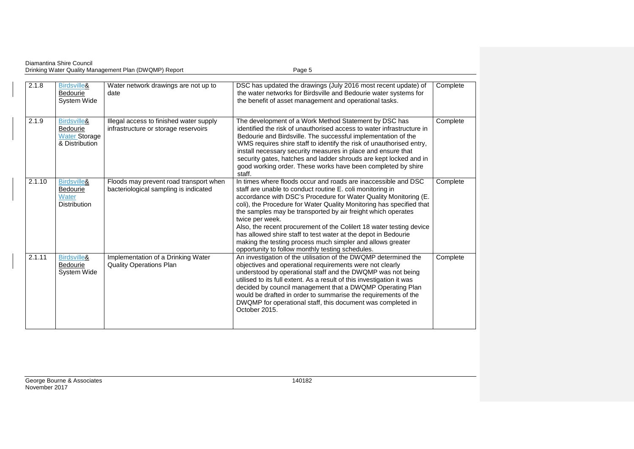Diamantina Shire Council Drinking Water Quality Management Plan (DWQMP) Report Page 5

| 2.1.8  | Birdsville&<br>Bedourie<br>System Wide                            | Water network drawings are not up to<br>date                                    | DSC has updated the drawings (July 2016 most recent update) of<br>the water networks for Birdsville and Bedourie water systems for<br>the benefit of asset management and operational tasks.                                                                                                                                                                                                                                                                                                                                                                                                                           | Complete |
|--------|-------------------------------------------------------------------|---------------------------------------------------------------------------------|------------------------------------------------------------------------------------------------------------------------------------------------------------------------------------------------------------------------------------------------------------------------------------------------------------------------------------------------------------------------------------------------------------------------------------------------------------------------------------------------------------------------------------------------------------------------------------------------------------------------|----------|
| 2.1.9  | Birdsville&<br>Bedourie<br><b>Water Storage</b><br>& Distribution | Illegal access to finished water supply<br>infrastructure or storage reservoirs | The development of a Work Method Statement by DSC has<br>identified the risk of unauthorised access to water infrastructure in<br>Bedourie and Birdsville. The successful implementation of the<br>WMS requires shire staff to identify the risk of unauthorised entry,<br>install necessary security measures in place and ensure that<br>security gates, hatches and ladder shrouds are kept locked and in<br>good working order. These works have been completed by shire<br>staff.                                                                                                                                 | Complete |
| 2.1.10 | Birdsville&<br>Bedourie<br>Water<br><b>Distribution</b>           | Floods may prevent road transport when<br>bacteriological sampling is indicated | In times where floods occur and roads are inaccessible and DSC<br>staff are unable to conduct routine E. coli monitoring in<br>accordance with DSC's Procedure for Water Quality Monitoring (E.<br>coli), the Procedure for Water Quality Monitoring has specified that<br>the samples may be transported by air freight which operates<br>twice per week.<br>Also, the recent procurement of the Colilert 18 water testing device<br>has allowed shire staff to test water at the depot in Bedourie<br>making the testing process much simpler and allows greater<br>opportunity to follow monthly testing schedules. | Complete |
| 2.1.11 | Birdsville&<br>Bedourie<br><b>System Wide</b>                     | Implementation of a Drinking Water<br><b>Quality Operations Plan</b>            | An investigation of the utilisation of the DWQMP determined the<br>objectives and operational requirements were not clearly<br>understood by operational staff and the DWQMP was not being<br>utilised to its full extent. As a result of this investigation it was<br>decided by council management that a DWQMP Operating Plan<br>would be drafted in order to summarise the requirements of the<br>DWQMP for operational staff, this document was completed in<br>October 2015.                                                                                                                                     | Complete |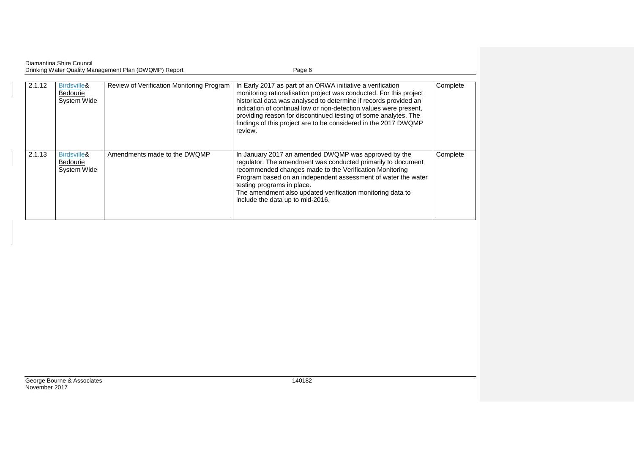| Diamantina Shire Council                              |        |
|-------------------------------------------------------|--------|
| Drinking Water Quality Management Plan (DWQMP) Report | Page 6 |

| 2.1.12 | Birdsville&<br><b>Bedourie</b><br>System Wide | Review of Verification Monitoring Program | In Early 2017 as part of an ORWA initiative a verification<br>monitoring rationalisation project was conducted. For this project<br>historical data was analysed to determine if records provided an<br>indication of continual low or non-detection values were present,<br>providing reason for discontinued testing of some analytes. The<br>findings of this project are to be considered in the 2017 DWQMP<br>review. | Complete |
|--------|-----------------------------------------------|-------------------------------------------|----------------------------------------------------------------------------------------------------------------------------------------------------------------------------------------------------------------------------------------------------------------------------------------------------------------------------------------------------------------------------------------------------------------------------|----------|
| 2.1.13 | Birdsville&<br><b>Bedourie</b><br>System Wide | Amendments made to the DWQMP              | In January 2017 an amended DWQMP was approved by the<br>regulator. The amendment was conducted primarily to document<br>recommended changes made to the Verification Monitoring<br>Program based on an independent assessment of water the water<br>testing programs in place.<br>The amendment also updated verification monitoring data to<br>include the data up to mid-2016.                                           | Complete |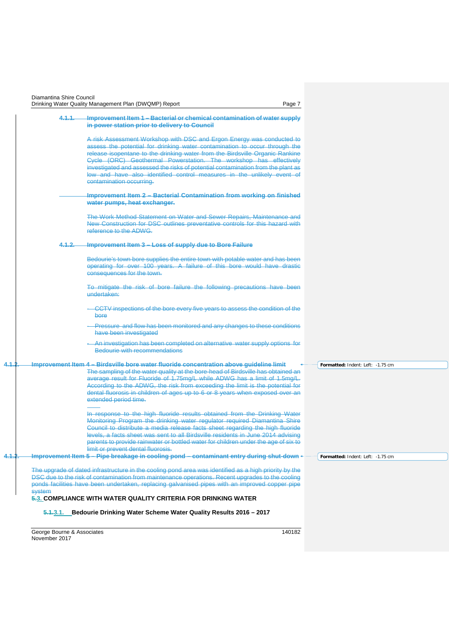| 4.1.1. | Improvement Item 1 - Bacterial or chemical contamination of water supply                                                                                                    |                                   |
|--------|-----------------------------------------------------------------------------------------------------------------------------------------------------------------------------|-----------------------------------|
|        | in power station prior to delivery to Council                                                                                                                               |                                   |
|        | A risk Assessment Workshop with DSC and Ergon Energy was conducted to                                                                                                       |                                   |
|        | assess the potential for drinking water contamination to occur through the                                                                                                  |                                   |
|        | release isopentane to the drinking water from the Birdsville Organic Rankine<br>Cycle (ORC) Geothermal Powerstation. The workshop has effectively                           |                                   |
|        | investigated and assessed the risks of potential contamination from the plant as                                                                                            |                                   |
|        | low and have also identified control measures in the unlikely event of                                                                                                      |                                   |
|        | contamination occurring.                                                                                                                                                    |                                   |
|        | Improvement Item 2 - Bacterial Contamination from working on finished                                                                                                       |                                   |
|        | water pumps, heat exchanger.                                                                                                                                                |                                   |
|        | The Work Method Statement on Water and Sewer Repairs, Maintenance and                                                                                                       |                                   |
|        | New Construction for DSC outlines preventative controls for this hazard with                                                                                                |                                   |
|        | reference to the ADWG.                                                                                                                                                      |                                   |
| 4.1.2. | Improvement Item 3 - Loss of supply due to Bore Failure                                                                                                                     |                                   |
|        | Bedourie's town bore supplies the entire town with potable water and has been                                                                                               |                                   |
|        | operating for over 100 years. A failure of this bore would have drastic                                                                                                     |                                   |
|        | consequences for the town.                                                                                                                                                  |                                   |
|        | To mitigate the risk of bore failure the following precautions have been                                                                                                    |                                   |
|        | undertaken:                                                                                                                                                                 |                                   |
|        | CCTV inspections of the bore every five years to assess the condition of the                                                                                                |                                   |
|        | bore                                                                                                                                                                        |                                   |
|        | Pressure and flow has been monitored and any changes to these conditions                                                                                                    |                                   |
|        | have been investigated                                                                                                                                                      |                                   |
|        | An investigation has been completed on alternative water supply options for<br>Bedourie with recommendations                                                                |                                   |
|        |                                                                                                                                                                             |                                   |
|        | Improvement Item 4 - Birdsville bore water fluoride concentration above guideline limit<br>The sampling of the water quality at the bore-head of Birdsville has obtained an | Formatted: Indent: Left: -1.75 cm |
|        | average result for Fluoride of 1.75mg/L while ADWG has a limit of 1.5mg/L.                                                                                                  |                                   |
|        | According to the ADWG, the risk from exceeding the limit is the potential for                                                                                               |                                   |
|        | dental fluorosis in children of ages up to 6 or 8 years when exposed over an<br>extended period time.                                                                       |                                   |
|        |                                                                                                                                                                             |                                   |
|        | In response to the high fluoride results obtained from the Drinking Water<br>Monitoring Program the drinking water regulator required Diamantina Shire                      |                                   |
|        | Council to distribute a media release facts sheet regarding the high fluoride                                                                                               |                                   |
|        | levels, a facts sheet was sent to all Birdsville residents in June 2014 advising                                                                                            |                                   |
|        | parents to provide rainwater or bottled water for children under the age of six to<br>limit or prevent dental fluorosis.                                                    |                                   |
|        | Improvement Item 5 - Pipe breakage in cooling pond - contaminant entry during shut-down                                                                                     | Formatted: Indent: Left: -1.75 cm |
|        | The upgrade of dated infrastructure in the cooling pond area was identified as a high priority by the                                                                       |                                   |
|        | DSC due to the risk of contamination from maintenance operations. Recent upgrades to the cooling                                                                            |                                   |
|        | ponds facilities have been undertaken, replacing galvanised pipes with an improved copper pipe                                                                              |                                   |
| system | 5.3. COMPLIANCE WITH WATER QUALITY CRITERIA FOR DRINKING WATER                                                                                                              |                                   |

<span id="page-9-1"></span><span id="page-9-0"></span>George Bourne & Associates 140182 November 2017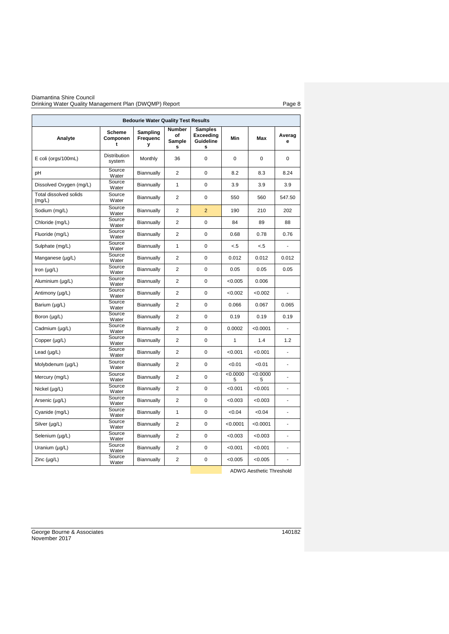#### Diamantina Shire Council Drinking Water Quality Management Plan (DWQMP) Report Page 8

|                                  |                         | <b>Bedourie Water Quality Test Results</b> |                                    |                                               |               |              |                |
|----------------------------------|-------------------------|--------------------------------------------|------------------------------------|-----------------------------------------------|---------------|--------------|----------------|
| Analyte                          | Scheme<br>Componen<br>t | Sampling<br>Frequenc<br>У                  | <b>Number</b><br>of<br>Sample<br>s | <b>Samples</b><br>Exceeding<br>Guideline<br>S | Min           | Max          | Averag<br>е    |
| E coli (orgs/100mL)              | Distribution<br>system  | Monthly                                    | 36                                 | 0                                             | $\Omega$      | $\Omega$     | $\mathbf 0$    |
| pH                               | Source<br>Water         | Biannually                                 | $\overline{2}$                     | 0                                             | 8.2           | 8.3          | 8.24           |
| Dissolved Oxygen (mg/L)          | Source<br>Water         | Biannually                                 | 1                                  | 0                                             | 3.9           | 3.9          | 3.9            |
| Total dissolved solids<br>(mg/L) | Source<br>Water         | Biannually                                 | 2                                  | 0                                             | 550           | 560          | 547.50         |
| Sodium (mg/L)                    | Source<br>Water         | Biannually                                 | $\overline{2}$                     | $\overline{2}$                                | 190           | 210          | 202            |
| Chloride (mg/L)                  | Source<br>Water         | Biannually                                 | $\overline{2}$                     | 0                                             | 84            | 89           | 88             |
| Fluoride (mg/L)                  | Source<br>Water         | Biannually                                 | $\overline{2}$                     | 0                                             | 0.68          | 0.78         | 0.76           |
| Sulphate (mg/L)                  | Source<br>Water         | Biannually                                 | $\mathbf{1}$                       | 0                                             | < 5           | < 5          |                |
| Manganese (µg/L)                 | Source<br>Water         | Biannually                                 | $\overline{2}$                     | 0                                             | 0.012         | 0.012        | 0.012          |
| Iron $(\mu g/L)$                 | Source<br>Water         | Biannually                                 | 2                                  | 0                                             | 0.05          | 0.05         | 0.05           |
| Aluminium (µg/L)                 | Source<br>Water         | Biannually                                 | $\overline{2}$                     | 0                                             | < 0.005       | 0.006        |                |
| Antimony (µg/L)                  | Source<br>Water         | Biannually                                 | $\overline{2}$                     | 0                                             | < 0.002       | < 0.002      | ÷,             |
| Barium (µg/L)                    | Source<br>Water         | Biannually                                 | $\overline{2}$                     | 0                                             | 0.066         | 0.067        | 0.065          |
| Boron (µg/L)                     | Source<br>Water         | Biannually                                 | $\overline{2}$                     | 0                                             | 0.19          | 0.19         | 0.19           |
| Cadmium (µg/L)                   | Source<br>Water         | Biannually                                 | $\overline{2}$                     | 0                                             | 0.0002        | < 0.0001     |                |
| Copper (µg/L)                    | Source<br>Water         | Biannually                                 | 2                                  | 0                                             | $\mathbf{1}$  | 1.4          | 1.2            |
| Lead $(\mu g/L)$                 | Source<br>Water         | Biannually                                 | $\overline{2}$                     | 0                                             | < 0.001       | < 0.001      | $\overline{a}$ |
| Molybdenum (µg/L)                | Source<br>Water         | Biannually                                 | $\overline{2}$                     | 0                                             | < 0.01        | < 0.01       |                |
| Mercury (mg/L)                   | Source<br>Water         | Biannually                                 | $\overline{2}$                     | 0                                             | < 0.0000<br>5 | <0.0000<br>5 |                |
| Nickel $(\mu g/L)$               | Source<br>Water         | Biannually                                 | $\overline{2}$                     | 0                                             | < 0.001       | < 0.001      | ä,             |
| Arsenic (µg/L)                   | Source<br>Water         | Biannually                                 | $\overline{2}$                     | 0                                             | < 0.003       | <0.003       |                |
| Cyanide (mg/L)                   | Source<br>Water         | Biannually                                 | $\mathbf{1}$                       | 0                                             | <0.04         | <0.04        | ٠              |
| Silver (µg/L)                    | Source<br>Water         | Biannually                                 | $\overline{2}$                     | 0                                             | < 0.0001      | < 0.0001     |                |
| Selenium (µg/L)                  | Source<br>Water         | Biannually                                 | $\overline{2}$                     | 0                                             | <0.003        | < 0.003      | ÷,             |
| Uranium $(\mu g/L)$              | Source<br>Water         | Biannually                                 | $\overline{2}$                     | 0                                             | < 0.001       | < 0.001      |                |
| Zinc (µg/L)                      | Source<br>Water         | Biannually                                 | $\overline{2}$                     | 0                                             | < 0.005       | < 0.005      | ÷,             |

ADWG Aesthetic Threshold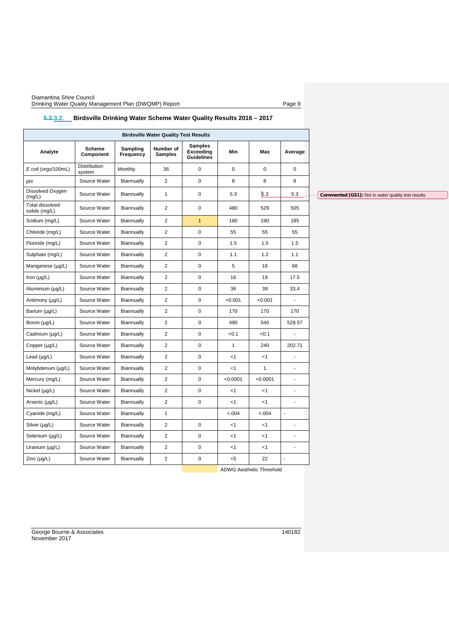| <b>Birdsville Water Quality Test Results</b> |                            |                       |                             |                                                  |              |              |                          |  |
|----------------------------------------------|----------------------------|-----------------------|-----------------------------|--------------------------------------------------|--------------|--------------|--------------------------|--|
| Analyte                                      | <b>Scheme</b><br>Component | Sampling<br>Frequency | Number of<br><b>Samples</b> | <b>Samples</b><br>Exceeding<br><b>Guidelines</b> | Min          | Max          | Average                  |  |
| E coli (orgs/100mL)                          | Distribution<br>system     | Monthly               | 36                          | $\mathsf{O}\xspace$                              | $\pmb{0}$    | $\mathbf 0$  | $\mathsf 0$              |  |
| pH                                           | Source Water               | Biannually            | $\overline{2}$              | $\mathsf{O}\xspace$                              | 8            | 8            | 8                        |  |
| Dissolved Oxygen<br>(mg/L)                   | Source Water               | Biannually            | $\mathbf{1}$                | $\pmb{0}$                                        | 5.3          | 5.3          | 5.3                      |  |
| Total dissolved<br>solids (mg/L)             | Source Water               | Biannually            | $\overline{2}$              | $\mathsf{O}\xspace$                              | 480          | 529          | 505                      |  |
| Sodium (mg/L)                                | Source Water               | Biannually            | $\overline{2}$              | $\mathbf{1}$                                     | 180          | 190          | 185                      |  |
| Chloride (mg/L)                              | Source Water               | Biannually            | $\overline{2}$              | $\mathsf 0$                                      | 55           | 55           | 55                       |  |
| Fluoride (mg/L)                              | Source Water               | Biannually            | $\overline{c}$              | $\mathsf 0$                                      | 1.5          | 1.5          | 1.5                      |  |
| Sulphate (mg/L)                              | Source Water               | Biannually            | $\overline{2}$              | $\mathsf 0$                                      | 1.1          | 1.2          | 1.1                      |  |
| Manganese (µg/L)                             | Source Water               | Biannually            | $\overline{\mathbf{c}}$     | $\pmb{0}$                                        | 5            | 16           | 68                       |  |
| Iron $(\mu g/L)$                             | Source Water               | Biannually            | $\overline{c}$              | $\mathbf 0$                                      | 16           | 19           | 17.5                     |  |
| Aluminium (µg/L)                             | Source Water               | Biannually            | $\overline{2}$              | $\mathsf{O}\xspace$                              | 36           | 39           | 33.4                     |  |
| Antimony (µg/L)                              | Source Water               | Biannually            | $\overline{2}$              | $\mathsf 0$                                      | < 0.001      | < 0.001      |                          |  |
| Barium (µg/L)                                | Source Water               | Biannually            | $\overline{\mathbf{c}}$     | $\mathsf 0$                                      | 170          | 170          | 170                      |  |
| Boron (µg/L)                                 | Source Water               | Biannually            | $\overline{2}$              | $\mathsf 0$                                      | 490          | 540          | 528.57                   |  |
| Cadmium (µg/L)                               | Source Water               | Biannually            | $\overline{c}$              | $\mathsf 0$                                      | < 0.1        | < 0.1        | ä,                       |  |
| Copper (µg/L)                                | Source Water               | Biannually            | $\overline{c}$              | $\mathsf 0$                                      | $\mathbf{1}$ | 240          | 202.71                   |  |
| Lead $(\mu g/L)$                             | Source Water               | Biannually            | $\overline{2}$              | $\mathsf{O}\xspace$                              | < 1          | < 1          | ÷,                       |  |
| Molybdenum (µg/L)                            | Source Water               | Biannually            | $\overline{2}$              | $\mathsf 0$                                      | < 1          | $\mathbf{1}$ | $\blacksquare$           |  |
| Mercury (mg/L)                               | Source Water               | Biannually            | $\overline{c}$              | $\mathbf 0$                                      | < 0.0001     | < 0.0001     | $\overline{a}$           |  |
| Nickel $(\mu g/L)$                           | Source Water               | Biannually            | $\overline{c}$              | $\mathbf 0$                                      | $<$ 1        | $<$ 1        | $\overline{\phantom{a}}$ |  |
| Arsenic (µg/L)                               | Source Water               | Biannually            | $\overline{2}$              | $\mathsf 0$                                      | < 1          | < 1          | ä,                       |  |
| Cyanide (mg/L)                               | Source Water               | Biannually            | $\mathbf{1}$                |                                                  | < .004       | < .004       | ä,                       |  |
| Silver (µg/L)                                | Source Water               | Biannually            | $\overline{2}$              | $\mathsf 0$                                      | $<$ 1        | < 1          | ä,                       |  |
| Selenium (µg/L)                              | Source Water               | Biannually            | $\overline{2}$              | $\mathsf{O}\xspace$                              | $<$ 1        | $<$ 1        | ÷,                       |  |
| Uranium (µg/L)                               | Source Water               | Biannually            | $\overline{2}$              | $\mathsf 0$                                      | $<$ 1        | $<1\,$       |                          |  |
| Zinc $(\mu g/L)$                             | Source Water               | Biannually            | $\overline{c}$              | 0                                                | $5$          | 22           | $\overline{a}$           |  |

# <span id="page-11-0"></span>**5.2.3.2. Birdsville Drinking Water Scheme Water Quality Results 2016 – 2017**

ADWG Aesthetic Threshold

George Bourne & Associates 140182 November 2017